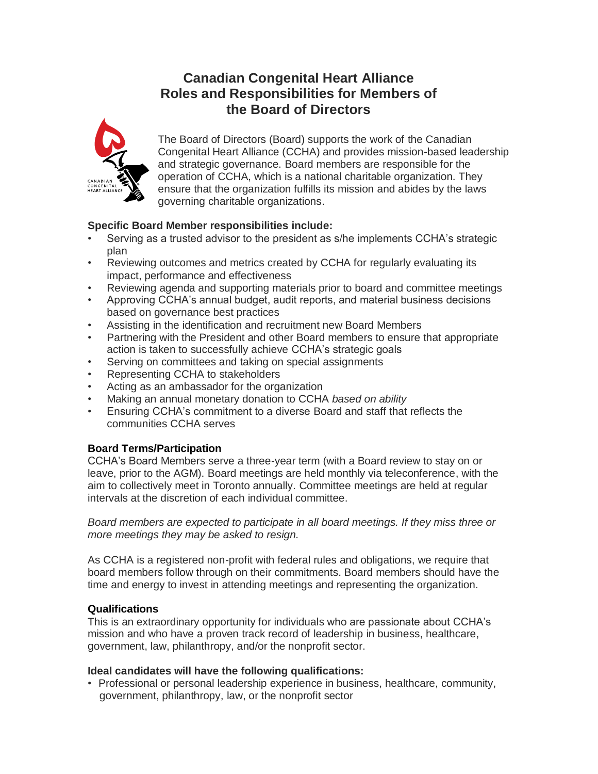# **Canadian Congenital Heart Alliance Roles and Responsibilities for Members of the Board of Directors**



The Board of Directors (Board) supports the work of the Canadian Congenital Heart Alliance (CCHA) and provides mission-based leadership and strategic governance. Board members are responsible for the operation of CCHA, which is a national charitable organization. They ensure that the organization fulfills its mission and abides by the laws governing charitable organizations.

# **Specific Board Member responsibilities include:**

- Serving as a trusted advisor to the president as s/he implements CCHA's strategic plan
- Reviewing outcomes and metrics created by CCHA for regularly evaluating its impact, performance and effectiveness
- Reviewing agenda and supporting materials prior to board and committee meetings
- Approving CCHA's annual budget, audit reports, and material business decisions based on governance best practices
- Assisting in the identification and recruitment new Board Members
- Partnering with the President and other Board members to ensure that appropriate action is taken to successfully achieve CCHA's strategic goals
- Serving on committees and taking on special assignments
- Representing CCHA to stakeholders
- Acting as an ambassador for the organization
- Making an annual monetary donation to CCHA *based on ability*
- Ensuring CCHA's commitment to a diverse Board and staff that reflects the communities CCHA serves

# **Board Terms/Participation**

CCHA's Board Members serve a three-year term (with a Board review to stay on or leave, prior to the AGM). Board meetings are held monthly via teleconference, with the aim to collectively meet in Toronto annually. Committee meetings are held at regular intervals at the discretion of each individual committee.

*Board members are expected to participate in all board meetings. If they miss three or more meetings they may be asked to resign.*

As CCHA is a registered non-profit with federal rules and obligations, we require that board members follow through on their commitments. Board members should have the time and energy to invest in attending meetings and representing the organization.

# **Qualifications**

This is an extraordinary opportunity for individuals who are passionate about CCHA's mission and who have a proven track record of leadership in business, healthcare, government, law, philanthropy, and/or the nonprofit sector.

# **Ideal candidates will have the following qualifications:**

• Professional or personal leadership experience in business, healthcare, community, government, philanthropy, law, or the nonprofit sector